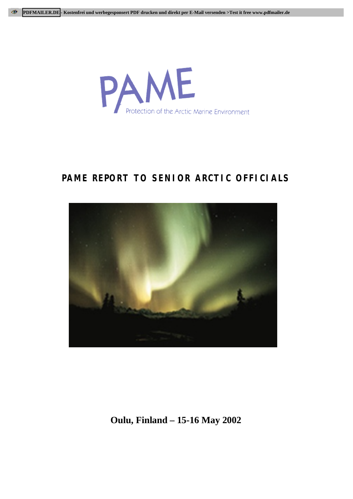

# **PAME REPORT TO SENIOR ARCTIC OFFICIALS**



**Oulu, Finland – 15-16 May 2002**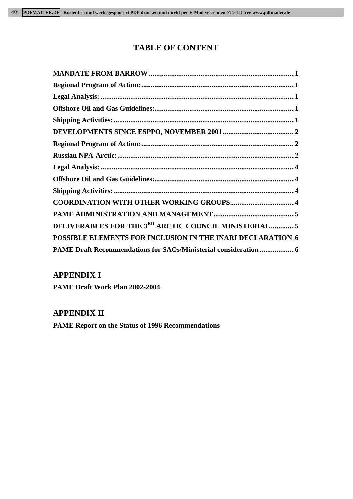# **TABLE OF CONTENT**

| <b>COORDINATION WITH OTHER WORKING GROUPS4</b>                    |
|-------------------------------------------------------------------|
|                                                                   |
| DELIVERABLES FOR THE 3RD ARCTIC COUNCIL MINISTERIAL 5             |
| <b>POSSIBLE ELEMENTS FOR INCLUSION IN THE INARI DECLARATION.6</b> |
|                                                                   |

# **APPENDIX I**

**PAME Draft Work Plan 2002-2004**

# **APPENDIX II**

**PAME Report on the Status of 1996 Recommendations**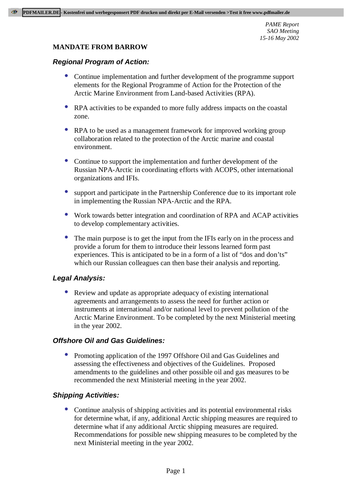#### **MANDATE FROM BARROW**

#### **Regional Program of Action:**

- Continue implementation and further development of the programme support elements for the Regional Programme of Action for the Protection of the Arctic Marine Environment from Land-based Activities (RPA).
- RPA activities to be expanded to more fully address impacts on the coastal zone.
- RPA to be used as a management framework for improved working group collaboration related to the protection of the Arctic marine and coastal environment.
- Continue to support the implementation and further development of the Russian NPA-Arctic in coordinating efforts with ACOPS, other international organizations and IFIs.
- support and participate in the Partnership Conference due to its important role in implementing the Russian NPA-Arctic and the RPA.
- Work towards better integration and coordination of RPA and ACAP activities to develop complementary activities.
- The main purpose is to get the input from the IFIs early on in the process and provide a forum for them to introduce their lessons learned form past experiences. This is anticipated to be in a form of a list of "dos and don'ts" which our Russian colleagues can then base their analysis and reporting.

# **Legal Analysis:**

• Review and update as appropriate adequacy of existing international agreements and arrangements to assess the need for further action or instruments at international and/or national level to prevent pollution of the Arctic Marine Environment. To be completed by the next Ministerial meeting in the year 2002.

# **Offshore Oil and Gas Guidelines:**

• Promoting application of the 1997 Offshore Oil and Gas Guidelines and assessing the effectiveness and objectives of the Guidelines. Proposed amendments to the guidelines and other possible oil and gas measures to be recommended the next Ministerial meeting in the year 2002.

#### **Shipping Activities:**

• Continue analysis of shipping activities and its potential environmental risks for determine what, if any, additional Arctic shipping measures are required to determine what if any additional Arctic shipping measures are required. Recommendations for possible new shipping measures to be completed by the next Ministerial meeting in the year 2002.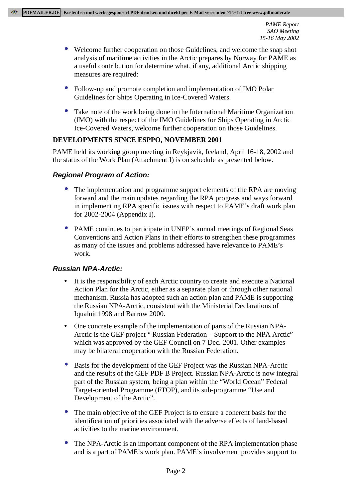- Welcome further cooperation on those Guidelines, and welcome the snap shot analysis of maritime activities in the Arctic prepares by Norway for PAME as a useful contribution for determine what, if any, additional Arctic shipping measures are required:
- Follow-up and promote completion and implementation of IMO Polar Guidelines for Ships Operating in Ice-Covered Waters.
- Take note of the work being done in the International Maritime Organization (IMO) with the respect of the IMO Guidelines for Ships Operating in Arctic Ice-Covered Waters, welcome further cooperation on those Guidelines.

#### **DEVELOPMENTS SINCE ESPPO, NOVEMBER 2001**

PAME held its working group meeting in Reykjavik, Iceland, April 16-18, 2002 and the status of the Work Plan (Attachment I) is on schedule as presented below.

# **Regional Program of Action:**

- The implementation and programme support elements of the RPA are moving forward and the main updates regarding the RPA progress and ways forward in implementing RPA specific issues with respect to PAME's draft work plan for 2002-2004 (Appendix I).
- PAME continues to participate in UNEP's annual meetings of Regional Seas Conventions and Action Plans in their efforts to strengthen these programmes as many of the issues and problems addressed have relevance to PAME's work.

# **Russian NPA-Arctic:**

- It is the responsibility of each Arctic country to create and execute a National Action Plan for the Arctic, either as a separate plan or through other national mechanism. Russia has adopted such an action plan and PAME is supporting the Russian NPA-Arctic, consistent with the Ministerial Declarations of Iqualuit 1998 and Barrow 2000.
- One concrete example of the implementation of parts of the Russian NPA-Arctic is the GEF project " Russian Federation – Support to the NPA Arctic" which was approved by the GEF Council on 7 Dec. 2001. Other examples may be bilateral cooperation with the Russian Federation.
- Basis for the development of the GEF Project was the Russian NPA-Arctic and the results of the GEF PDF B Project. Russian NPA-Arctic is now integral part of the Russian system, being a plan within the "World Ocean" Federal Target-oriented Programme (FTOP), and its sub-programme "Use and Development of the Arctic".
- The main objective of the GEF Project is to ensure a coherent basis for the identification of priorities associated with the adverse effects of land-based activities to the marine environment.
- The NPA-Arctic is an important component of the RPA implementation phase and is a part of PAME's work plan. PAME's involvement provides support to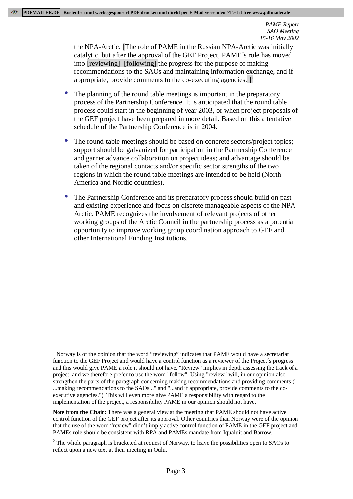the NPA-Arctic. [The role of PAME in the Russian NPA-Arctic was initially catalytic, but after the approval of the GEF Project, PAME´s role has moved into [reviewing]<sup>1</sup> [following] the progress for the purpose of making recommendations to the SAOs and maintaining information exchange, and if appropriate, provide comments to the co-executing agencies.  $]^{2}$ 

- The planning of the round table meetings is important in the preparatory process of the Partnership Conference. It is anticipated that the round table process could start in the beginning of year 2003, or when project proposals of the GEF project have been prepared in more detail. Based on this a tentative schedule of the Partnership Conference is in 2004.
- The round-table meetings should be based on concrete sectors/project topics; support should be galvanized for participation in the Partnership Conference and garner advance collaboration on project ideas; and advantage should be taken of the regional contacts and/or specific sector strengths of the two regions in which the round table meetings are intended to be held (North America and Nordic countries).
- The Partnership Conference and its preparatory process should build on past and existing experience and focus on discrete manageable aspects of the NPA-Arctic. PAME recognizes the involvement of relevant projects of other working groups of the Arctic Council in the partnership process as a potential opportunity to improve working group coordination approach to GEF and other International Funding Institutions.

 $\overline{a}$ 

<sup>&</sup>lt;sup>1</sup> Norway is of the opinion that the word "reviewing" indicates that PAME would have a secretariat function to the GEF Project and would have a control function as a reviewer of the Project´s progress and this would give PAME a role it should not have. "Review" implies in depth assessing the track of a project, and we therefore prefer to use the word "follow". Using "review" will, in our opinion also strengthen the parts of the paragraph concerning making recommendations and providing comments (" ...making recommendations to the SAOs .." and "...and if appropriate, provide comments to the coexecutive agencies."). This will even more give PAME a responsibility with regard to the implementation of the project, a responsibility PAME in our opinion should not have.

**Note from the Chair:** There was a general view at the meeting that PAME should not have active control function of the GEF project after its approval. Other countries than Norway were of the opinion that the use of the word "review" didn't imply active control function of PAME in the GEF project and PAMEs role should be consistent with RPA and PAMEs mandate from Iqualuit and Barrow.

<sup>&</sup>lt;sup>2</sup> The whole paragraph is bracketed at request of Norway, to leave the possibilities open to SAOs to reflect upon a new text at their meeting in Oulu.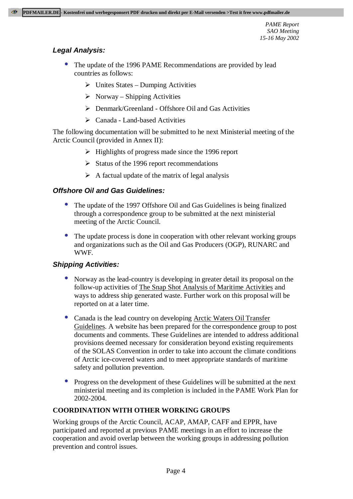# **Legal Analysis:**

- The update of the 1996 PAME Recommendations are provided by lead countries as follows:
	- $\triangleright$  Unites States Dumping Activities
	- $\triangleright$  Norway Shipping Activities
	- $\triangleright$  Denmark/Greenland Offshore Oil and Gas Activities
	- $\triangleright$  Canada Land-based Activities

The following documentation will be submitted to he next Ministerial meeting of the Arctic Council (provided in Annex II):

- $\triangleright$  Highlights of progress made since the 1996 report
- $\triangleright$  Status of the 1996 report recommendations
- $\triangleright$  A factual update of the matrix of legal analysis

# **Offshore Oil and Gas Guidelines:**

- The update of the 1997 Offshore Oil and Gas Guidelines is being finalized through a correspondence group to be submitted at the next ministerial meeting of the Arctic Council.
- The update process is done in cooperation with other relevant working groups and organizations such as the Oil and Gas Producers (OGP), RUNARC and WWF.

# **Shipping Activities:**

- Norway as the lead-country is developing in greater detail its proposal on the follow-up activities of The Snap Shot Analysis of Maritime Activities and ways to address ship generated waste. Further work on this proposal will be reported on at a later time.
- Canada is the lead country on developing Arctic Waters Oil Transfer Guidelines. A website has been prepared for the correspondence group to post documents and comments. These Guidelines are intended to address additional provisions deemed necessary for consideration beyond existing requirements of the SOLAS Convention in order to take into account the climate conditions of Arctic ice-covered waters and to meet appropriate standards of maritime safety and pollution prevention.
- Progress on the development of these Guidelines will be submitted at the next ministerial meeting and its completion is included in the PAME Work Plan for 2002-2004.

# **COORDINATION WITH OTHER WORKING GROUPS**

Working groups of the Arctic Council, ACAP, AMAP, CAFF and EPPR, have participated and reported at previous PAME meetings in an effort to increase the cooperation and avoid overlap between the working groups in addressing pollution prevention and control issues.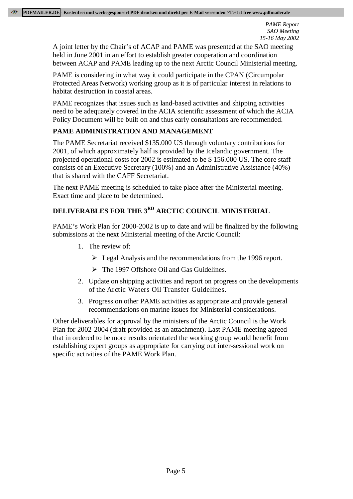A joint letter by the Chair's of ACAP and PAME was presented at the SAO meeting held in June 2001 in an effort to establish greater cooperation and coordination between ACAP and PAME leading up to the next Arctic Council Ministerial meeting.

PAME is considering in what way it could participate in the CPAN (Circumpolar Protected Areas Network) working group as it is of particular interest in relations to habitat destruction in coastal areas.

PAME recognizes that issues such as land-based activities and shipping activities need to be adequately covered in the ACIA scientific assessment of which the ACIA Policy Document will be built on and thus early consultations are recommended.

# **PAME ADMINISTRATION AND MANAGEMENT**

The PAME Secretariat received \$135.000 US through voluntary contributions for 2001, of which approximately half is provided by the Icelandic government. The projected operational costs for 2002 is estimated to be \$ 156.000 US. The core staff consists of an Executive Secretary (100%) and an Administrative Assistance (40%) that is shared with the CAFF Secretariat.

The next PAME meeting is scheduled to take place after the Ministerial meeting. Exact time and place to be determined.

# **DELIVERABLES FOR THE 3RD ARCTIC COUNCIL MINISTERIAL**

PAME's Work Plan for 2000-2002 is up to date and will be finalized by the following submissions at the next Ministerial meeting of the Arctic Council:

- 1. The review of:
	- $\geq$  Legal Analysis and the recommendations from the 1996 report.
	- $\triangleright$  The 1997 Offshore Oil and Gas Guidelines.
- 2. Update on shipping activities and report on progress on the developments of the Arctic Waters Oil Transfer Guidelines.
- 3. Progress on other PAME activities as appropriate and provide general recommendations on marine issues for Ministerial considerations.

Other deliverables for approval by the ministers of the Arctic Council is the Work Plan for 2002-2004 (draft provided as an attachment). Last PAME meeting agreed that in ordered to be more results orientated the working group would benefit from establishing expert groups as appropriate for carrying out inter-sessional work on specific activities of the PAME Work Plan.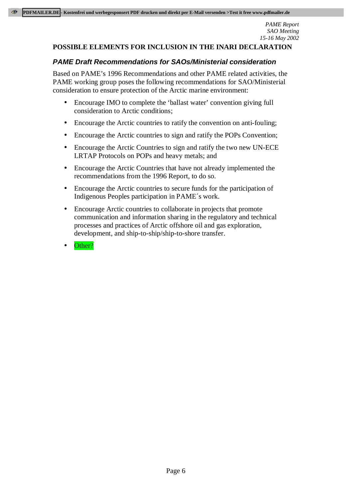#### **POSSIBLE ELEMENTS FOR INCLUSION IN THE INARI DECLARATION**

#### **PAME Draft Recommendations for SAOs/Ministerial consideration**

Based on PAME's 1996 Recommendations and other PAME related activities, the PAME working group poses the following recommendations for SAO/Ministerial consideration to ensure protection of the Arctic marine environment:

- Encourage IMO to complete the 'ballast water' convention giving full consideration to Arctic conditions;
- Encourage the Arctic countries to ratify the convention on anti-fouling;
- Encourage the Arctic countries to sign and ratify the POPs Convention;
- Encourage the Arctic Countries to sign and ratify the two new UN-ECE LRTAP Protocols on POPs and heavy metals; and
- Encourage the Arctic Countries that have not already implemented the recommendations from the 1996 Report, to do so.
- Encourage the Arctic countries to secure funds for the participation of Indigenous Peoples participation in PAME´s work.
- Encourage Arctic countries to collaborate in projects that promote communication and information sharing in the regulatory and technical processes and practices of Arctic offshore oil and gas exploration, development, and ship-to-ship/ship-to-shore transfer.
- Other?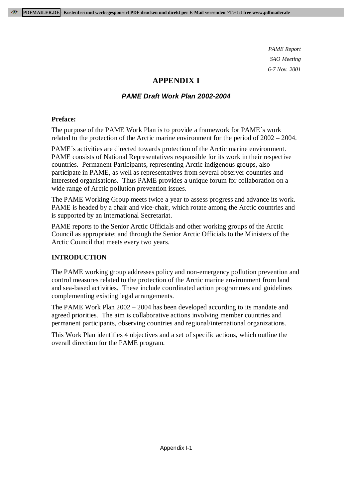# **APPENDIX I**

# **PAME Draft Work Plan 2002-2004**

# **Preface:**

The purpose of the PAME Work Plan is to provide a framework for PAME´s work related to the protection of the Arctic marine environment for the period of 2002 – 2004.

PAME´s activities are directed towards protection of the Arctic marine environment. PAME consists of National Representatives responsible for its work in their respective countries. Permanent Participants, representing Arctic indigenous groups, also participate in PAME, as well as representatives from several observer countries and interested organisations. Thus PAME provides a unique forum for collaboration on a wide range of Arctic pollution prevention issues.

The PAME Working Group meets twice a year to assess progress and advance its work. PAME is headed by a chair and vice-chair, which rotate among the Arctic countries and is supported by an International Secretariat.

PAME reports to the Senior Arctic Officials and other working groups of the Arctic Council as appropriate; and through the Senior Arctic Officials to the Ministers of the Arctic Council that meets every two years.

# **INTRODUCTION**

The PAME working group addresses policy and non-emergency pollution prevention and control measures related to the protection of the Arctic marine environment from land and sea-based activities. These include coordinated action programmes and guidelines complementing existing legal arrangements.

The PAME Work Plan 2002 – 2004 has been developed according to its mandate and agreed priorities. The aim is collaborative actions involving member countries and permanent participants, observing countries and regional/international organizations.

This Work Plan identifies 4 objectives and a set of specific actions, which outline the overall direction for the PAME program.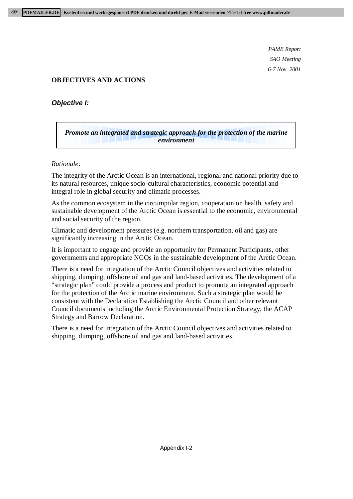# **OBJECTIVES AND ACTIONS**

# **Objective I:**

# *Promote an integrated and strategic approach for the protection of the marine environment*

#### *Rationale:*

The integrity of the Arctic Ocean is an international, regional and national priority due to its natural resources, unique socio-cultural characteristics, economic potential and integral role in global security and climatic processes.

As the common ecosystem in the circumpolar region, cooperation on health, safety and sustainable development of the Arctic Ocean is essential to the economic, environmental and social security of the region.

Climatic and development pressures (e.g. northern transportation, oil and gas) are significantly increasing in the Arctic Ocean.

It is important to engage and provide an opportunity for Permanent Participants, other governments and appropriate NGOs in the sustainable development of the Arctic Ocean.

There is a need for integration of the Arctic Council objectives and activities related to shipping, dumping, offshore oil and gas and land-based activities. The development of a "strategic plan" could provide a process and product to promote an integrated approach for the protection of the Arctic marine environment. Such a strategic plan would be consistent with the Declaration Establishing the Arctic Council and other relevant Council documents including the Arctic Environmental Protection Strategy, the ACAP Strategy and Barrow Declaration.

There is a need for integration of the Arctic Council objectives and activities related to shipping, dumping, offshore oil and gas and land-based activities.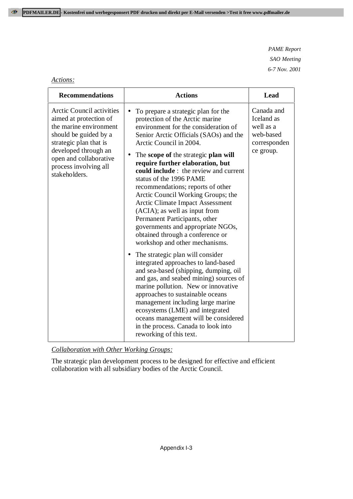# *Actions:*

| <b>Recommendations</b>                                                                                                                                                                                                              | <b>Actions</b>                                                                                                                                                                                                                                                                                                                                                                                                                                                                                                                                                                                                                          | Lead                                                                            |
|-------------------------------------------------------------------------------------------------------------------------------------------------------------------------------------------------------------------------------------|-----------------------------------------------------------------------------------------------------------------------------------------------------------------------------------------------------------------------------------------------------------------------------------------------------------------------------------------------------------------------------------------------------------------------------------------------------------------------------------------------------------------------------------------------------------------------------------------------------------------------------------------|---------------------------------------------------------------------------------|
| <b>Arctic Council activities</b><br>aimed at protection of<br>the marine environment<br>should be guided by a<br>strategic plan that is<br>developed through an<br>open and collaborative<br>process involving all<br>stakeholders. | To prepare a strategic plan for the<br>protection of the Arctic marine<br>environment for the consideration of<br>Senior Arctic Officials (SAOs) and the<br>Arctic Council in 2004.<br>The scope of the strategic plan will<br>require further elaboration, but<br>could include : the review and current<br>status of the 1996 PAME<br>recommendations; reports of other<br>Arctic Council Working Groups; the<br><b>Arctic Climate Impact Assessment</b><br>(ACIA); as well as input from<br>Permanent Participants, other<br>governments and appropriate NGOs,<br>obtained through a conference or<br>workshop and other mechanisms. | Canada and<br>Iceland as<br>well as a<br>web-based<br>corresponden<br>ce group. |
|                                                                                                                                                                                                                                     | The strategic plan will consider<br>integrated approaches to land-based<br>and sea-based (shipping, dumping, oil<br>and gas, and seabed mining) sources of<br>marine pollution. New or innovative<br>approaches to sustainable oceans<br>management including large marine<br>ecosystems (LME) and integrated<br>oceans management will be considered<br>in the process. Canada to look into<br>reworking of this text.                                                                                                                                                                                                                 |                                                                                 |

*Collaboration with Other Working Groups:*

The strategic plan development process to be designed for effective and efficient collaboration with all subsidiary bodies of the Arctic Council.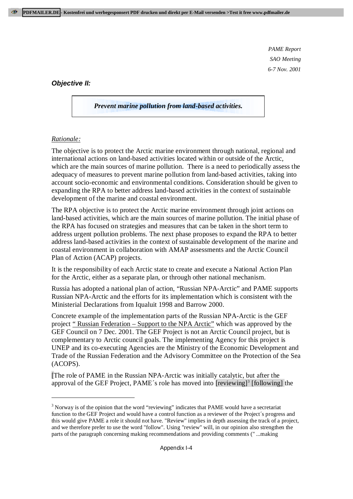#### **Objective II:**

*Prevent marine pollution from land-based activities.*

#### *Rationale:*

-

The objective is to protect the Arctic marine environment through national, regional and international actions on land-based activities located within or outside of the Arctic, which are the main sources of marine pollution. There is a need to periodically assess the adequacy of measures to prevent marine pollution from land-based activities, taking into account socio-economic and environmental conditions. Consideration should be given to expanding the RPA to better address land-based activities in the context of sustainable development of the marine and coastal environment.

The RPA objective is to protect the Arctic marine environment through joint actions on land-based activities, which are the main sources of marine pollution. The initial phase of the RPA has focused on strategies and measures that can be taken in the short term to address urgent pollution problems. The next phase proposes to expand the RPA to better address land-based activities in the context of sustainable development of the marine and coastal environment in collaboration with AMAP assessments and the Arctic Council Plan of Action (ACAP) projects.

It is the responsibility of each Arctic state to create and execute a National Action Plan for the Arctic, either as a separate plan, or through other national mechanism.

Russia has adopted a national plan of action, "Russian NPA-Arctic" and PAME supports Russian NPA-Arctic and the efforts for its implementation which is consistent with the Ministerial Declarations from Iqualuit 1998 and Barrow 2000.

Concrete example of the implementation parts of the Russian NPA-Arctic is the GEF project " Russian Federation – Support to the NPA Arctic" which was approved by the GEF Council on 7 Dec. 2001. The GEF Project is not an Arctic Council project, but is complementary to Arctic council goals. The implementing Agency for this project is UNEP and its co-executing Agencies are the Ministry of the Economic Development and Trade of the Russian Federation and the Advisory Committee on the Protection of the Sea (ACOPS).

[The role of PAME in the Russian NPA-Arctic was initially catalytic, but after the approval of the GEF Project, PAME's role has moved into  $[reviewing]$ <sup>3</sup> [following] the

 $3$  Norway is of the opinion that the word "reviewing" indicates that PAME would have a secretariat function to the GEF Project and would have a control function as a reviewer of the Project´s progress and this would give PAME a role it should not have. "Review" implies in depth assessing the track of a project, and we therefore prefer to use the word "follow". Using "review" will, in our opinion also strengthen the parts of the paragraph concerning making recommendations and providing comments (" ...making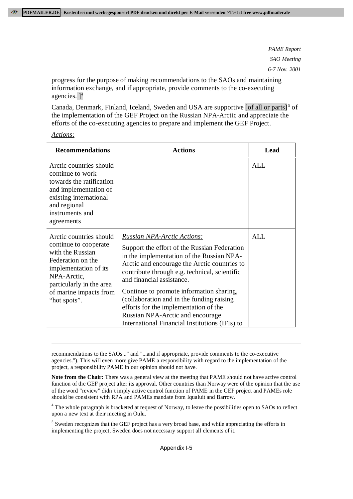progress for the purpose of making recommendations to the SAOs and maintaining information exchange, and if appropriate, provide comments to the co-executing agencies.  $]$ <sup>4</sup>

Canada, Denmark, Finland, Iceland, Sweden and USA are supportive  $\lceil \text{of all or parts} \rceil^5$  of the implementation of the GEF Project on the Russian NPA-Arctic and appreciate the efforts of the co-executing agencies to prepare and implement the GEF Project.

-

| <b>Recommendations</b>                                                                                                                                                                                  | Actions                                                                                                                                                                                                                                                                                                                                                                                                                                                                                | Lead |
|---------------------------------------------------------------------------------------------------------------------------------------------------------------------------------------------------------|----------------------------------------------------------------------------------------------------------------------------------------------------------------------------------------------------------------------------------------------------------------------------------------------------------------------------------------------------------------------------------------------------------------------------------------------------------------------------------------|------|
| Arctic countries should<br>continue to work<br>towards the ratification<br>and implementation of<br>existing international<br>and regional<br>instruments and<br>agreements                             |                                                                                                                                                                                                                                                                                                                                                                                                                                                                                        | ALL  |
| Arctic countries should<br>continue to cooperate<br>with the Russian<br>Federation on the<br>implementation of its<br>NPA-Arctic,<br>particularly in the area<br>of marine impacts from<br>"hot spots". | <b>Russian NPA-Arctic Actions:</b><br>Support the effort of the Russian Federation<br>in the implementation of the Russian NPA-<br>Arctic and encourage the Arctic countries to<br>contribute through e.g. technical, scientific<br>and financial assistance.<br>Continue to promote information sharing,<br>(collaboration and in the funding raising)<br>efforts for the implementation of the<br>Russian NPA-Arctic and encourage<br>International Financial Institutions (IFIs) to | ALL  |

recommendations to the SAOs .." and "...and if appropriate, provide comments to the co-executive agencies."). This will even more give PAME a responsibility with regard to the implementation of the project, a responsibility PAME in our opinion should not have.

**Note from the Chair:** There was a general view at the meeting that PAME should not have active control function of the GEF project after its approval. Other countries than Norway were of the opinion that the use of the word "review" didn't imply active control function of PAME in the GEF project and PAMEs role should be consistent with RPA and PAMEs mandate from Iqualuit and Barrow.

<sup>4</sup> The whole paragraph is bracketed at request of Norway, to leave the possibilities open to SAOs to reflect upon a new text at their meeting in Oulu.

<sup>5</sup> Sweden recognizes that the GEF project has a very broad base, and while appreciating the efforts in implementing the project, Sweden does not necessary support all elements of it.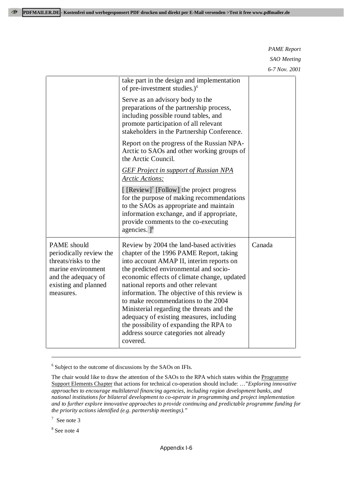|                                                                                                                                                  | take part in the design and implementation<br>of pre-investment studies.) $6$                                                                                                                                                                                                                                                                                                                                                                                                                                                                   |        |
|--------------------------------------------------------------------------------------------------------------------------------------------------|-------------------------------------------------------------------------------------------------------------------------------------------------------------------------------------------------------------------------------------------------------------------------------------------------------------------------------------------------------------------------------------------------------------------------------------------------------------------------------------------------------------------------------------------------|--------|
|                                                                                                                                                  | Serve as an advisory body to the<br>preparations of the partnership process,<br>including possible round tables, and<br>promote participation of all relevant<br>stakeholders in the Partnership Conference.                                                                                                                                                                                                                                                                                                                                    |        |
|                                                                                                                                                  | Report on the progress of the Russian NPA-<br>Arctic to SAOs and other working groups of<br>the Arctic Council.                                                                                                                                                                                                                                                                                                                                                                                                                                 |        |
|                                                                                                                                                  | <b>GEF Project in support of Russian NPA</b><br><b>Arctic Actions:</b>                                                                                                                                                                                                                                                                                                                                                                                                                                                                          |        |
|                                                                                                                                                  | [ $[$ Review] <sup>7</sup> [Follow] the project progress<br>for the purpose of making recommendations<br>to the SAOs as appropriate and maintain<br>information exchange, and if appropriate,<br>provide comments to the co-executing<br>agencies. $]$ <sup>8</sup>                                                                                                                                                                                                                                                                             |        |
| PAME should<br>periodically review the<br>threats/risks to the<br>marine environment<br>and the adequacy of<br>existing and planned<br>measures. | Review by 2004 the land-based activities<br>chapter of the 1996 PAME Report, taking<br>into account AMAP II, interim reports on<br>the predicted environmental and socio-<br>economic effects of climate change, updated<br>national reports and other relevant<br>information. The objective of this review is<br>to make recommendations to the 2004<br>Ministerial regarding the threats and the<br>adequacy of existing measures, including<br>the possibility of expanding the RPA to<br>address source categories not already<br>covered. | Canada |

<sup>6</sup> Subject to the outcome of discussions by the SAOs on IFIs.

The chair would like to draw the attention of the SAOs to the RPA which states within the Programme Support Elements Chapter that actions for technical co-operation should include: …"*Exploring innovative approaches to encourage multilateral financing agencies, including region development banks, and national institutions for bilateral development to co-operate in programming and project implementation and to further explore innovative approaches to provide continuing and predictable programme funding for the priority actions identified (e.g. partnership meetings)."*

7 See note 3

 $\overline{a}$ 

8 See note 4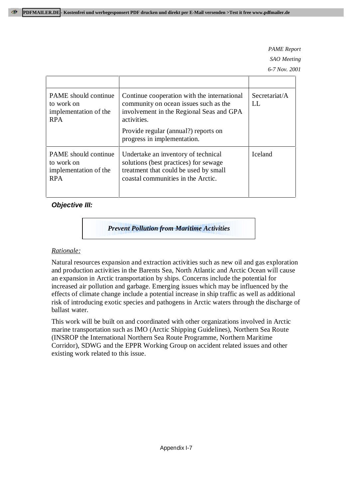| PAME should continue<br>to work on<br>implementation of the<br><b>RPA</b>        | Continue cooperation with the international<br>community on ocean issues such as the<br>involvement in the Regional Seas and GPA<br>activities.<br>Provide regular (annual?) reports on<br>progress in implementation. | Secretariat/A<br>LI |
|----------------------------------------------------------------------------------|------------------------------------------------------------------------------------------------------------------------------------------------------------------------------------------------------------------------|---------------------|
| <b>PAME</b> should continue<br>to work on<br>implementation of the<br><b>RPA</b> | Undertake an inventory of technical<br>solutions (best practices) for sewage<br>treatment that could be used by small<br>coastal communities in the Arctic.                                                            | <b>Iceland</b>      |

# **Objective III:**

*Prevent Pollution from Maritime Activities*

# *Rationale:*

Natural resources expansion and extraction activities such as new oil and gas exploration and production activities in the Barents Sea, North Atlantic and Arctic Ocean will cause an expansion in Arctic transportation by ships. Concerns include the potential for increased air pollution and garbage. Emerging issues which may be influenced by the effects of climate change include a potential increase in ship traffic as well as additional risk of introducing exotic species and pathogens in Arctic waters through the discharge of ballast water.

This work will be built on and coordinated with other organizations involved in Arctic marine transportation such as IMO (Arctic Shipping Guidelines), Northern Sea Route (INSROP the International Northern Sea Route Programme, Northern Maritime Corridor), SDWG and the EPPR Working Group on accident related issues and other existing work related to this issue.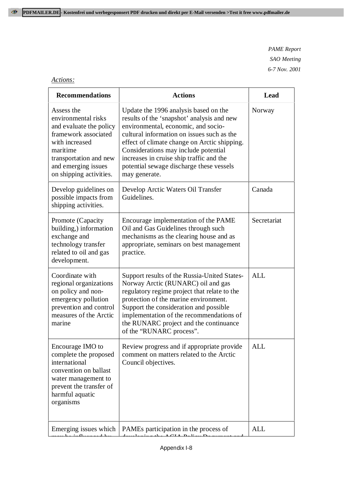# *Actions:*

| <b>Recommendations</b>                                                                                                                                                                         | <b>Actions</b>                                                                                                                                                                                                                                                                                                                                                            | Lead        |
|------------------------------------------------------------------------------------------------------------------------------------------------------------------------------------------------|---------------------------------------------------------------------------------------------------------------------------------------------------------------------------------------------------------------------------------------------------------------------------------------------------------------------------------------------------------------------------|-------------|
| Assess the<br>environmental risks<br>and evaluate the policy<br>framework associated<br>with increased<br>maritime<br>transportation and new<br>and emerging issues<br>on shipping activities. | Update the 1996 analysis based on the<br>results of the 'snapshot' analysis and new<br>environmental, economic, and socio-<br>cultural information on issues such as the<br>effect of climate change on Arctic shipping.<br>Considerations may include potential<br>increases in cruise ship traffic and the<br>potential sewage discharge these vessels<br>may generate. | Norway      |
| Develop guidelines on<br>possible impacts from<br>shipping activities.                                                                                                                         | Develop Arctic Waters Oil Transfer<br>Guidelines.                                                                                                                                                                                                                                                                                                                         | Canada      |
| Promote (Capacity<br>building,) information<br>exchange and<br>technology transfer<br>related to oil and gas<br>development.                                                                   | Encourage implementation of the PAME<br>Oil and Gas Guidelines through such<br>mechanisms as the clearing house and as<br>appropriate, seminars on best management<br>practice.                                                                                                                                                                                           | Secretariat |
| Coordinate with<br>regional organizations<br>on policy and non-<br>emergency pollution<br>prevention and control<br>measures of the Arctic<br>marine                                           | Support results of the Russia-United States-<br>Norway Arctic (RUNARC) oil and gas<br>regulatory regime project that relate to the<br>protection of the marine environment.<br>Support the consideration and possible<br>implementation of the recommendations of<br>the RUNARC project and the continuance<br>of the "RUNARC process".                                   | <b>ALL</b>  |
| Encourage IMO to<br>complete the proposed<br>international<br>convention on ballast<br>water management to<br>prevent the transfer of<br>harmful aquatic<br>organisms                          | Review progress and if appropriate provide<br>comment on matters related to the Arctic<br>Council objectives.                                                                                                                                                                                                                                                             | <b>ALL</b>  |
| Emerging issues which                                                                                                                                                                          | PAMEs participation in the process of                                                                                                                                                                                                                                                                                                                                     | ALL         |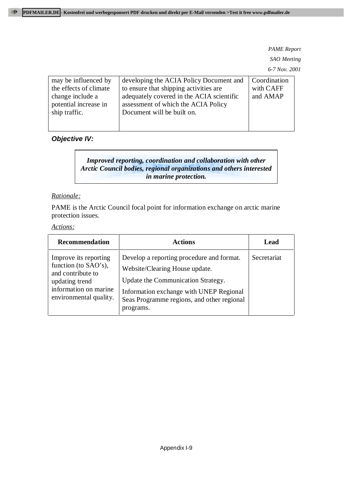| may be influenced by<br>the effects of climate<br>change include a<br>potential increase in<br>ship traffic. | developing the ACIA Policy Document and<br>to ensure that shipping activities are<br>adequately covered in the ACIA scientific<br>assessment of which the ACIA Policy<br>Document will be built on. | Coordination<br>with CAFF<br>and AMAP |
|--------------------------------------------------------------------------------------------------------------|-----------------------------------------------------------------------------------------------------------------------------------------------------------------------------------------------------|---------------------------------------|
|                                                                                                              |                                                                                                                                                                                                     |                                       |

# **Objective IV:**

*Improved reporting, coordination and collaboration with other Arctic Council bodies, regional organizations and others interested in marine protection.*

#### *Rationale:*

PAME is the Arctic Council focal point for information exchange on arctic marine protection issues.

#### *Actions:*

| <b>Recommendation</b>                                                                                                                   | <b>Actions</b>                                                                                                                                                                                                          | Lead        |
|-----------------------------------------------------------------------------------------------------------------------------------------|-------------------------------------------------------------------------------------------------------------------------------------------------------------------------------------------------------------------------|-------------|
| Improve its reporting<br>function (to SAO's),<br>and contribute to<br>updating trend<br>information on marine<br>environmental quality. | Develop a reporting procedure and format.<br>Website/Clearing House update.<br>Update the Communication Strategy.<br>Information exchange with UNEP Regional<br>Seas Programme regions, and other regional<br>programs. | Secretariat |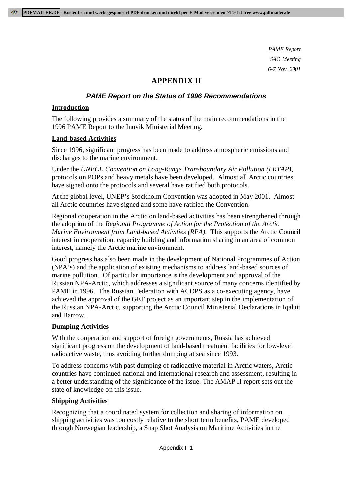# **APPENDIX II**

# **PAME Report on the Status of 1996 Recommendations**

# **Introduction**

The following provides a summary of the status of the main recommendations in the 1996 PAME Report to the Inuvik Ministerial Meeting.

#### **Land-based Activities**

Since 1996, significant progress has been made to address atmospheric emissions and discharges to the marine environment.

Under the *UNECE Convention on Long-Range Transboundary Air Pollution (LRTAP)*, protocols on POPs and heavy metals have been developed. Almost all Arctic countries have signed onto the protocols and several have ratified both protocols.

At the global level, UNEP's Stockholm Convention was adopted in May 2001. Almost all Arctic countries have signed and some have ratified the Convention.

Regional cooperation in the Arctic on land-based activities has been strengthened through the adoption of the *Regional Programme of Action for the Protection of the Arctic Marine Environment from Land-based Activities (RPA).* This supports the Arctic Council interest in cooperation, capacity building and information sharing in an area of common interest, namely the Arctic marine environment.

Good progress has also been made in the development of National Programmes of Action (NPA's) and the application of existing mechanisms to address land-based sources of marine pollution. Of particular importance is the development and approval of the Russian NPA-Arctic, which addresses a significant source of many concerns identified by PAME in 1996. The Russian Federation with ACOPS as a co-executing agency, have achieved the approval of the GEF project as an important step in the implementation of the Russian NPA-Arctic, supporting the Arctic Council Ministerial Declarations in Iqaluit and Barrow.

# **Dumping Activities**

With the cooperation and support of foreign governments, Russia has achieved significant progress on the development of land-based treatment facilities for low-level radioactive waste, thus avoiding further dumping at sea since 1993.

To address concerns with past dumping of radioactive material in Arctic waters, Arctic countries have continued national and international research and assessment, resulting in a better understanding of the significance of the issue. The AMAP II report sets out the state of knowledge on this issue.

# **Shipping Activities**

Recognizing that a coordinated system for collection and sharing of information on shipping activities was too costly relative to the short term benefits, PAME developed through Norwegian leadership, a Snap Shot Analysis on Maritime Activities in the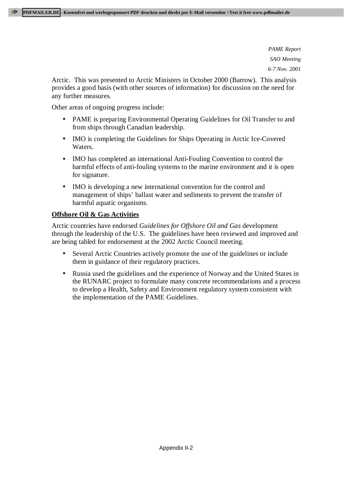Arctic. This was presented to Arctic Ministers in October 2000 (Barrow). This analysis provides a good basis (with other sources of information) for discussion on the need for any further measures.

Other areas of ongoing progress include:

- PAME is preparing Environmental Operating Guidelines for Oil Transfer to and from ships through Canadian leadership.
- IMO is completing the Guidelines for Ships Operating in Arctic Ice-Covered Waters.
- IMO has completed an international Anti-Fouling Convention to control the harmful effects of anti-fouling systems to the marine environment and it is open for signature.
- IMO is developing a new international convention for the control and management of ships' ballast water and sediments to prevent the transfer of harmful aquatic organisms.

# **Offshore Oil & Gas Activities**

Arctic countries have endorsed *Guidelines for Offshore Oil and Gas* development through the leadership of the U.S. The guidelines have been reviewed and improved and are being tabled for endorsement at the 2002 Arctic Council meeting.

- Several Arctic Countries actively promote the use of the guidelines or include them in guidance of their regulatory practices.
- Russia used the guidelines and the experience of Norway and the United States in the RUNARC project to formulate many concrete recommendations and a process to develop a Health, Safety and Environment regulatory system consistent with the implementation of the PAME Guidelines.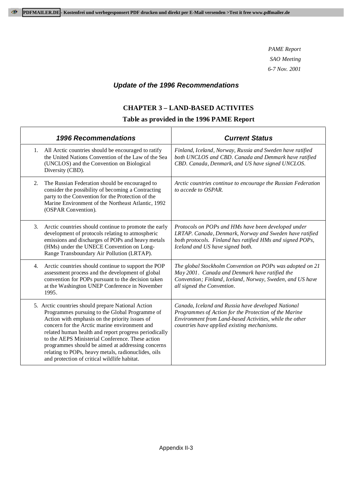# **Update of the 1996 Recommendations**

# **CHAPTER 3 – LAND-BASED ACTIVITES**

| <b>1996 Recommendations</b>                                                                                                                                                                                                                                                                                                                                                                                                                                                      | <b>Current Status</b>                                                                                                                                                                                                 |
|----------------------------------------------------------------------------------------------------------------------------------------------------------------------------------------------------------------------------------------------------------------------------------------------------------------------------------------------------------------------------------------------------------------------------------------------------------------------------------|-----------------------------------------------------------------------------------------------------------------------------------------------------------------------------------------------------------------------|
| 1. All Arctic countries should be encouraged to ratify<br>the United Nations Convention of the Law of the Sea<br>(UNCLOS) and the Convention on Biological<br>Diversity (CBD).                                                                                                                                                                                                                                                                                                   | Finland, Iceland, Norway, Russia and Sweden have ratified<br>both UNCLOS and CBD. Canada and Denmark have ratified<br>CBD. Canada, Denmark, and US have signed UNCLOS.                                                |
| The Russian Federation should be encouraged to<br>2.<br>consider the possibility of becoming a Contracting<br>party to the Convention for the Protection of the<br>Marine Environment of the Northeast Atlantic, 1992<br>(OSPAR Convention).                                                                                                                                                                                                                                     | Arctic countries continue to encourage the Russian Federation<br>to accede to OSPAR.                                                                                                                                  |
| Arctic countries should continue to promote the early<br>3.<br>development of protocols relating to atmospheric<br>emissions and discharges of POPs and heavy metals<br>(HMs) under the UNECE Convention on Long-<br>Range Transboundary Air Pollution (LRTAP).                                                                                                                                                                                                                  | Protocols on POPs and HMs have been developed under<br>LRTAP. Canada, Denmark, Norway and Sweden have ratified<br>both protocols. Finland has ratified HMs and signed POPs,<br>Iceland and US have signed both.       |
| Arctic countries should continue to support the POP<br>4.<br>assessment process and the development of global<br>convention for POPs pursuant to the decision taken<br>at the Washington UNEP Conference in November<br>1995.                                                                                                                                                                                                                                                    | The global Stockholm Convention on POPs was adopted on 21<br>May 2001. Canada and Denmark have ratified the<br>Convention; Finland, Iceland, Norway, Sweden, and US have<br>all signed the Convention.                |
| 5. Arctic countries should prepare National Action<br>Programmes pursuing to the Global Programme of<br>Action with emphasis on the priority issues of<br>concern for the Arctic marine environment and<br>related human health and report progress periodically<br>to the AEPS Ministerial Conference. These action<br>programmes should be aimed at addressing concerns<br>relating to POPs, heavy metals, radionuclides, oils<br>and protection of critical wildlife habitat. | Canada, Iceland and Russia have developed National<br>Programmes of Action for the Protection of the Marine<br>Environment from Land-based Activities, while the other<br>countries have applied existing mechanisms. |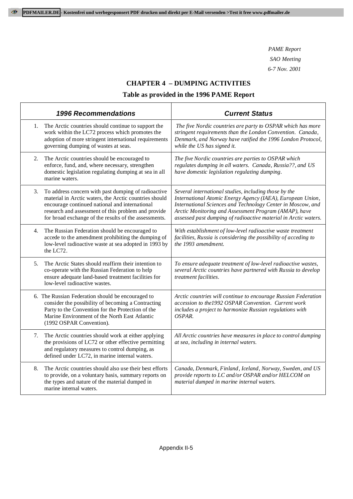# **CHAPTER 4 – DUMPING ACTIVITIES**

| <b>1996 Recommendations</b>                                                                                                                                                                                                                                                           | <b>Current Status</b>                                                                                                                                                                                                                                                                                          |
|---------------------------------------------------------------------------------------------------------------------------------------------------------------------------------------------------------------------------------------------------------------------------------------|----------------------------------------------------------------------------------------------------------------------------------------------------------------------------------------------------------------------------------------------------------------------------------------------------------------|
| The Arctic countries should continue to support the<br>1.<br>work within the LC72 process which promotes the<br>adoption of more stringent international requirements<br>governing dumping of wastes at seas.                                                                         | The five Nordic countries are party to OSPAR which has more<br>stringent requirements than the London Convention. Canada,<br>Denmark, and Norway have ratified the 1996 London Protocol,<br>while the US has signed it.                                                                                        |
| The Arctic countries should be encouraged to<br>2.<br>enforce, fund, and, where necessary, strengthen<br>domestic legislation regulating dumping at sea in all<br>marine waters.                                                                                                      | The five Nordic countries are parties to OSPAR which<br>regulates dumping in all waters. Canada, Russia??, and US<br>have domestic legislation regulating dumping.                                                                                                                                             |
| 3.<br>To address concern with past dumping of radioactive<br>material in Arctic waters, the Arctic countries should<br>encourage continued national and international<br>research and assessment of this problem and provide<br>for broad exchange of the results of the assessments. | Several international studies, including those by the<br>International Atomic Energy Agency (IAEA), European Union,<br>International Sciences and Technology Center in Moscow, and<br>Arctic Monitoring and Assessment Program (AMAP), have<br>assessed past dumping of radioactive material in Arctic waters. |
| 4.<br>The Russian Federation should be encouraged to<br>accede to the amendment prohibiting the dumping of<br>low-level radioactive waste at sea adopted in 1993 by<br>the LC72.                                                                                                      | With establishment of low-level radioactive waste treatment<br>facilities, Russia is considering the possibility of acceding to<br>the 1993 amendment.                                                                                                                                                         |
| The Arctic States should reaffirm their intention to<br>5.<br>co-operate with the Russian Federation to help<br>ensure adequate land-based treatment facilities for<br>low-level radioactive wastes.                                                                                  | To ensure adequate treatment of low-level radioactive wastes,<br>several Arctic countries have partnered with Russia to develop<br>treatment facilities.                                                                                                                                                       |
| 6. The Russian Federation should be encouraged to<br>consider the possibility of becoming a Contracting<br>Party to the Convention for the Protection of the<br>Marine Environment of the North East Atlantic<br>(1992 OSPAR Convention).                                             | Arctic countries will continue to encourage Russian Federation<br>accession to the 1992 OSPAR Convention. Current work<br>includes a project to harmonize Russian regulations with<br>OSPAR.                                                                                                                   |
| The Arctic countries should work at either applying<br>7.<br>the provisions of LC72 or other effective permitting<br>and regulatory measures to control dumping, as<br>defined under LC72, in marine internal waters.                                                                 | All Arctic countries have measures in place to control dumping<br>at sea, including in internal waters.                                                                                                                                                                                                        |
| 8.<br>The Arctic countries should also use their best efforts<br>to provide, on a voluntary basis, summary reports on<br>the types and nature of the material dumped in<br>marine internal waters.                                                                                    | Canada, Denmark, Finland, Iceland, Norway, Sweden, and US<br>provide reports to LC and/or OSPAR and/or HELCOM on<br>material dumped in marine internal waters.                                                                                                                                                 |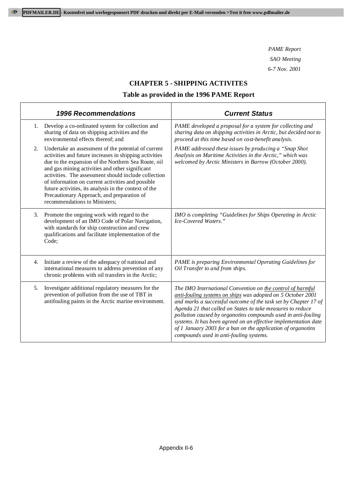### **CHAPTER 5 - SHIPPING ACTIVITES**

|    | <b>1996 Recommendations</b>                                                                                                                                                                                                                                                                                                                                                                                                                                                  | <b>Current Status</b>                                                                                                                                                                                                                                                                                                                                                                                                                                                                                     |
|----|------------------------------------------------------------------------------------------------------------------------------------------------------------------------------------------------------------------------------------------------------------------------------------------------------------------------------------------------------------------------------------------------------------------------------------------------------------------------------|-----------------------------------------------------------------------------------------------------------------------------------------------------------------------------------------------------------------------------------------------------------------------------------------------------------------------------------------------------------------------------------------------------------------------------------------------------------------------------------------------------------|
| 1. | Develop a co-ordinated system for collection and<br>sharing of data on shipping activities and the<br>environmental effects thereof; and                                                                                                                                                                                                                                                                                                                                     | PAME developed a proposal for a system for collecting and<br>sharing data on shipping activities in Arctic, but decided not to<br>proceed at this time based on cost-benefit analysis.                                                                                                                                                                                                                                                                                                                    |
| 2. | Undertake an assessment of the potential of current<br>activities and future increases in shipping activities<br>due to the expansion of the Northern Sea Route, oil<br>and gas mining activities and other significant<br>activities. The assessment should include collection<br>of information on current activities and possible<br>future activities, its analysis in the context of the<br>Precautionary Approach, and preparation of<br>recommendations to Ministers; | PAME addressed these issues by producing a "Snap Shot<br>Analysis on Maritime Activities in the Arctic," which was<br>welcomed by Arctic Ministers in Barrow (October 2000).                                                                                                                                                                                                                                                                                                                              |
| 3. | Promote the ongoing work with regard to the<br>development of an IMO Code of Polar Navigation,<br>with standards for ship construction and crew<br>qualifications and facilitate implementation of the<br>Code;                                                                                                                                                                                                                                                              | IMO is completing "Guidelines for Ships Operating in Arctic<br><i>Ice-Covered Waters.</i> "                                                                                                                                                                                                                                                                                                                                                                                                               |
| 4. | Initiate a review of the adequacy of national and<br>international measures to address prevention of any<br>chronic problems with oil transfers in the Arctic;                                                                                                                                                                                                                                                                                                               | PAME is preparing Environmental Operating Guidelines for<br>Oil Transfer to and from ships.                                                                                                                                                                                                                                                                                                                                                                                                               |
| 5. | Investigate additional regulatory measures for the<br>prevention of pollution from the use of TBT in<br>antifouling paints in the Arctic marine environment.                                                                                                                                                                                                                                                                                                                 | The IMO International Convention on the control of harmful<br>anti-fouling systems on ships was adopted on 5 October 2001<br>and marks a successful outcome of the task set by Chapter 17 of<br>Agenda 21 that called on States to take measures to reduce<br>pollution caused by organotins compounds used in anti-fouling<br>systems. It has been agreed on an effective implementation date<br>of 1 January 2003 for a ban on the application of organotins<br>compounds used in anti-fouling systems. |